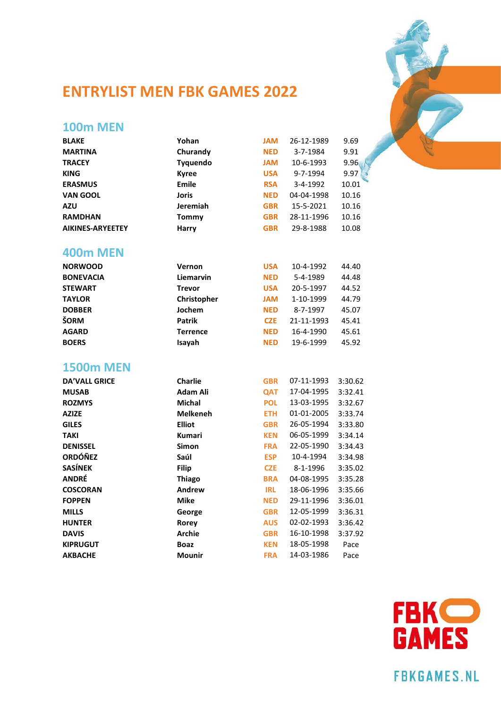

## **ENTRYLIST MEN FBK GAMES 2022**

# **100m MEN**

| <b>BLAKE</b>            | Yohan           | <b>MAL</b> | 26-12-1989 | 9.69    |
|-------------------------|-----------------|------------|------------|---------|
| <b>MARTINA</b>          | Churandy        | <b>NED</b> | 3-7-1984   | 9.91    |
| <b>TRACEY</b>           | Tyquendo        | <b>MAL</b> | 10-6-1993  | 9.96    |
| <b>KING</b>             | <b>Kyree</b>    | <b>USA</b> | 9-7-1994   | 9.97    |
| <b>ERASMUS</b>          | Emile           | <b>RSA</b> | 3-4-1992   | 10.01   |
| <b>VAN GOOL</b>         | <b>Joris</b>    | <b>NED</b> | 04-04-1998 | 10.16   |
| AZU                     | Jeremiah        | <b>GBR</b> | 15-5-2021  | 10.16   |
| <b>RAMDHAN</b>          | <b>Tommy</b>    | <b>GBR</b> | 28-11-1996 | 10.16   |
| <b>AIKINES-ARYEETEY</b> | Harry           | <b>GBR</b> | 29-8-1988  | 10.08   |
| <b>400m MEN</b>         |                 |            |            |         |
| <b>NORWOOD</b>          | Vernon          | <b>USA</b> | 10-4-1992  | 44.40   |
| <b>BONEVACIA</b>        | Liemarvin       | <b>NED</b> | 5-4-1989   | 44.48   |
| <b>STEWART</b>          | <b>Trevor</b>   | <b>USA</b> | 20-5-1997  | 44.52   |
| <b>TAYLOR</b>           | Christopher     | <b>MAL</b> | 1-10-1999  | 44.79   |
| <b>DOBBER</b>           | Jochem          | <b>NED</b> | 8-7-1997   | 45.07   |
| ŠORM                    | <b>Patrik</b>   | <b>CZE</b> | 21-11-1993 | 45.41   |
| <b>AGARD</b>            | <b>Terrence</b> | <b>NED</b> | 16-4-1990  | 45.61   |
| <b>BOERS</b>            | Isayah          | <b>NED</b> | 19-6-1999  | 45.92   |
| <b>1500m MEN</b>        |                 |            |            |         |
| <b>DA'VALL GRICE</b>    | <b>Charlie</b>  | <b>GBR</b> | 07-11-1993 | 3:30.62 |
| <b>MUSAB</b>            | <b>Adam Ali</b> | QAT        | 17-04-1995 | 3:32.41 |
| <b>ROZMYS</b>           | Michal          | <b>POL</b> | 13-03-1995 | 3:32.67 |
| <b>AZIZE</b>            | <b>Melkeneh</b> | <b>ETH</b> | 01-01-2005 | 3:33.74 |
| <b>GILES</b>            | <b>Elliot</b>   | <b>GBR</b> | 26-05-1994 | 3:33.80 |
| TAKI                    | <b>Kumari</b>   | <b>KEN</b> | 06-05-1999 | 3:34.14 |
| <b>DENISSEL</b>         | Simon           | <b>FRA</b> | 22-05-1990 | 3:34.43 |
| <b>ORDÓÑEZ</b>          | Saúl            | <b>ESP</b> | 10-4-1994  | 3:34.98 |
| <b>SASÍNEK</b>          | <b>Filip</b>    | <b>CZE</b> | 8-1-1996   | 3:35.02 |
| ANDRÉ                   | <b>Thiago</b>   | <b>BRA</b> | 04-08-1995 | 3:35.28 |
| <b>COSCORAN</b>         | Andrew          | <b>IRL</b> | 18-06-1996 | 3:35.66 |
| <b>FOPPEN</b>           | <b>Mike</b>     | <b>NED</b> | 29-11-1996 | 3:36.01 |
| <b>MILLS</b>            | George          | <b>GBR</b> | 12-05-1999 | 3:36.31 |
| <b>HUNTER</b>           | Rorey           | <b>AUS</b> | 02-02-1993 | 3:36.42 |
| <b>DAVIS</b>            | <b>Archie</b>   | <b>GBR</b> | 16-10-1998 | 3:37.92 |
| <b>KIPRUGUT</b>         | <b>Boaz</b>     | <b>KEN</b> | 18-05-1998 | Pace    |
| <b>AKBACHE</b>          | <b>Mounir</b>   | <b>FRA</b> | 14-03-1986 | Pace    |



**FBKGAMES.NL**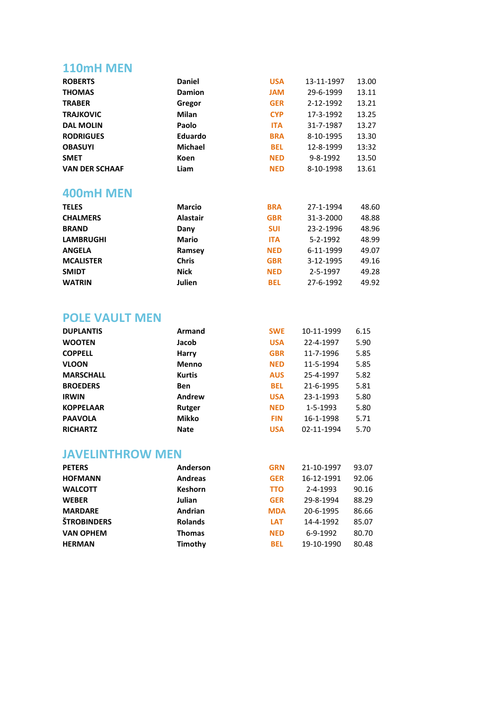### **110mH MEN**

| <b>ROBERTS</b>        | <b>Daniel</b>   | <b>USA</b> | 13-11-1997 | 13.00 |
|-----------------------|-----------------|------------|------------|-------|
| <b>THOMAS</b>         | <b>Damion</b>   | <b>MAL</b> | 29-6-1999  | 13.11 |
| <b>TRABER</b>         | Gregor          | <b>GER</b> | 2-12-1992  | 13.21 |
| <b>TRAJKOVIC</b>      | <b>Milan</b>    | <b>CYP</b> | 17-3-1992  | 13.25 |
| <b>DAL MOLIN</b>      | Paolo           | <b>ITA</b> | 31-7-1987  | 13.27 |
| <b>RODRIGUES</b>      | <b>Eduardo</b>  | <b>BRA</b> | 8-10-1995  | 13.30 |
| <b>OBASUYI</b>        | <b>Michael</b>  | <b>BEL</b> | 12-8-1999  | 13:32 |
| <b>SMET</b>           | Koen            | <b>NED</b> | 9-8-1992   | 13.50 |
| <b>VAN DER SCHAAF</b> | Liam            | <b>NED</b> | 8-10-1998  | 13.61 |
| 400mH MEN             |                 |            |            |       |
| <b>TELES</b>          | <b>Marcio</b>   | <b>BRA</b> | 27-1-1994  | 48.60 |
| <b>CHALMERS</b>       | <b>Alastair</b> | <b>GBR</b> | 31-3-2000  | 48.88 |
| <b>BRAND</b>          | Dany            | <b>SUI</b> | 23-2-1996  | 48.96 |
| <b>LAMBRUGHI</b>      | <b>Mario</b>    | <b>ITA</b> | 5-2-1992   | 48.99 |
| <b>ANGELA</b>         | Ramsey          | <b>NED</b> | 6-11-1999  | 49.07 |
| <b>MCALISTER</b>      | <b>Chris</b>    | <b>GBR</b> | 3-12-1995  | 49.16 |
| <b>SMIDT</b>          | <b>Nick</b>     | <b>NED</b> | 2-5-1997   | 49.28 |
| <b>WATRIN</b>         | Julien          | <b>BEL</b> | 27-6-1992  | 49.92 |
|                       |                 |            |            |       |

## **POLE VAULT MEN**

| <b>DUPLANTIS</b> | Armand        | <b>SWE</b> | 10-11-1999 | 6.15 |
|------------------|---------------|------------|------------|------|
| <b>WOOTEN</b>    | Jacob         | <b>USA</b> | 22-4-1997  | 5.90 |
| <b>COPPELL</b>   | Harry         | <b>GBR</b> | 11-7-1996  | 5.85 |
| <b>VLOON</b>     | <b>Menno</b>  | <b>NED</b> | 11-5-1994  | 5.85 |
| <b>MARSCHALL</b> | <b>Kurtis</b> | <b>AUS</b> | 25-4-1997  | 5.82 |
| <b>BROEDERS</b>  | <b>Ben</b>    | <b>BEL</b> | 21-6-1995  | 5.81 |
| <b>IRWIN</b>     | Andrew        | <b>USA</b> | 23-1-1993  | 5.80 |
| <b>KOPPELAAR</b> | Rutger        | <b>NED</b> | 1-5-1993   | 5.80 |
| <b>PAAVOLA</b>   | Mikko         | <b>FIN</b> | 16-1-1998  | 5.71 |
| <b>RICHARTZ</b>  | <b>Nate</b>   | <b>USA</b> | 02-11-1994 | 5.70 |

### **JAVELINTHROW MEN**

| <b>PETERS</b>      | Anderson       | <b>GRN</b> | 21-10-1997     | 93.07 |
|--------------------|----------------|------------|----------------|-------|
| <b>HOFMANN</b>     | <b>Andreas</b> | <b>GER</b> | 16-12-1991     | 92.06 |
| <b>WALCOTT</b>     | <b>Keshorn</b> | <b>TTO</b> | $2 - 4 - 1993$ | 90.16 |
| <b>WEBER</b>       | Julian         | <b>GER</b> | 29-8-1994      | 88.29 |
| <b>MARDARE</b>     | Andrian        | <b>MDA</b> | 20-6-1995      | 86.66 |
| <b>ŠTROBINDERS</b> | <b>Rolands</b> | <b>LAT</b> | 14-4-1992      | 85.07 |
| <b>VAN OPHEM</b>   | <b>Thomas</b>  | <b>NED</b> | 6-9-1992       | 80.70 |
| <b>HERMAN</b>      | Timothy        | <b>BEL</b> | 19-10-1990     | 80.48 |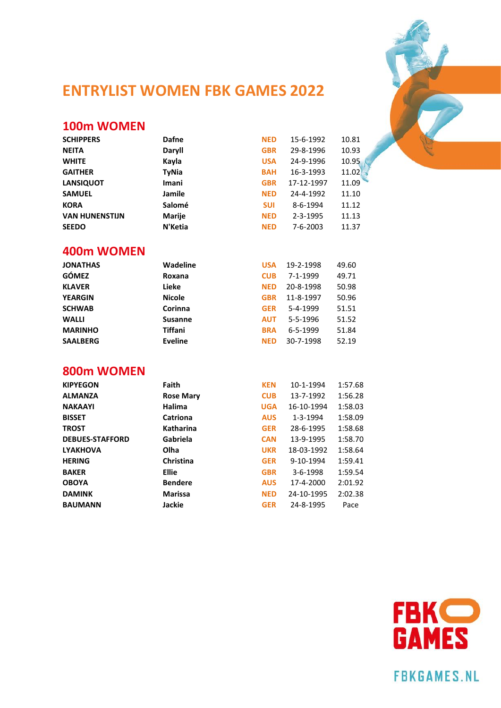

## **ENTRYLIST WOMEN FBK GAMES 2022**

#### **100m WOMEN**

| <b>SCHIPPERS</b>      | Dafne         | <b>NED</b> | 15-6-1992      | 10.81 |
|-----------------------|---------------|------------|----------------|-------|
| <b>NEITA</b>          | Daryll        | <b>GBR</b> | 29-8-1996      | 10.93 |
| <b>WHITE</b>          | Kayla         | <b>USA</b> | 24-9-1996      | 10.95 |
| <b>GAITHER</b>        | <b>TyNia</b>  | <b>BAH</b> | 16-3-1993      | 11.02 |
| <b>LANSIQUOT</b>      | Imani         | <b>GBR</b> | 17-12-1997     | 11.09 |
| <b>SAMUEL</b>         | Jamile        | <b>NED</b> | 24-4-1992      | 11.10 |
| <b>KORA</b>           | Salomé        | <b>SUI</b> | 8-6-1994       | 11.12 |
| <b>VAN HUNENSTIJN</b> | <b>Marije</b> | <b>NED</b> | $2 - 3 - 1995$ | 11.13 |
| <b>SEEDO</b>          | N'Ketia       | <b>NED</b> | $7 - 6 - 2003$ | 11.37 |

#### **400m WOMEN**

| 49.60 |
|-------|
| 49.71 |
| 50.98 |
| 50.96 |
| 51.51 |
| 51.52 |
| 51.84 |
| 52.19 |
|       |

#### **800m WOMEN**

| <b>KIPYEGON</b>        | Faith            | <b>KEN</b> | 10-1-1994      | 1:57.68 |
|------------------------|------------------|------------|----------------|---------|
| <b>ALMANZA</b>         | <b>Rose Mary</b> | <b>CUB</b> | 13-7-1992      | 1:56.28 |
| <b>NAKAAYI</b>         | Halima           | <b>UGA</b> | 16-10-1994     | 1:58.03 |
| <b>BISSET</b>          | Catriona         | <b>AUS</b> | 1-3-1994       | 1:58.09 |
| <b>TROST</b>           | <b>Katharina</b> | <b>GER</b> | 28-6-1995      | 1:58.68 |
| <b>DEBUES-STAFFORD</b> | Gabriela         | <b>CAN</b> | 13-9-1995      | 1:58.70 |
| <b>LYAKHOVA</b>        | Olha             | <b>UKR</b> | 18-03-1992     | 1:58.64 |
| <b>HERING</b>          | Christina        | <b>GER</b> | 9-10-1994      | 1:59.41 |
| <b>BAKER</b>           | <b>Ellie</b>     | <b>GBR</b> | $3 - 6 - 1998$ | 1:59.54 |
| <b>OBOYA</b>           | <b>Bendere</b>   | <b>AUS</b> | 17-4-2000      | 2:01.92 |
| <b>DAMINK</b>          | <b>Marissa</b>   | <b>NED</b> | 24-10-1995     | 2:02.38 |
| <b>BAUMANN</b>         | Jackie           | <b>GER</b> | 24-8-1995      | Pace    |
|                        |                  |            |                |         |



**FBKGAMES.NL**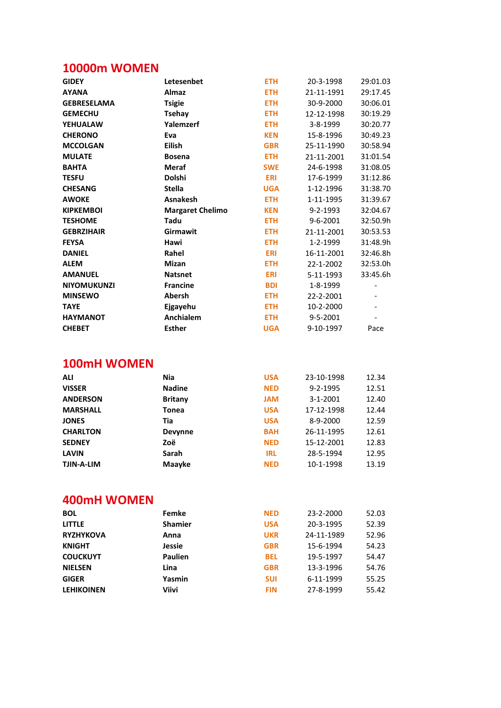## **10000m WOMEN**

| <b>GIDEY</b>       | Letesenbet              | <b>ETH</b> | 20-3-1998      | 29:01.03 |
|--------------------|-------------------------|------------|----------------|----------|
| <b>AYANA</b>       | Almaz                   | <b>ETH</b> | 21-11-1991     | 29:17.45 |
| <b>GEBRESELAMA</b> | <b>Tsigie</b>           | <b>ETH</b> | 30-9-2000      | 30:06.01 |
| <b>GEMECHU</b>     | <b>Tsehay</b>           | <b>ETH</b> | 12-12-1998     | 30:19.29 |
| <b>YEHUALAW</b>    | Yalemzerf               | <b>ETH</b> | 3-8-1999       | 30:20.77 |
| <b>CHERONO</b>     | Eva                     | <b>KEN</b> | 15-8-1996      | 30:49.23 |
| <b>MCCOLGAN</b>    | <b>Eilish</b>           | <b>GBR</b> | 25-11-1990     | 30:58.94 |
| <b>MULATE</b>      | <b>Bosena</b>           | <b>ETH</b> | 21-11-2001     | 31:01.54 |
| <b>BAHTA</b>       | <b>Meraf</b>            | <b>SWE</b> | 24-6-1998      | 31:08.05 |
| <b>TESFU</b>       | <b>Dolshi</b>           | <b>ERI</b> | 17-6-1999      | 31:12.86 |
| <b>CHESANG</b>     | <b>Stella</b>           | <b>UGA</b> | 1-12-1996      | 31:38.70 |
| <b>AWOKE</b>       | <b>Asnakesh</b>         | <b>ETH</b> | 1-11-1995      | 31:39.67 |
| <b>KIPKEMBOI</b>   | <b>Margaret Chelimo</b> | <b>KEN</b> | $9 - 2 - 1993$ | 32:04.67 |
| <b>TESHOME</b>     | Tadu                    | <b>ETH</b> | 9-6-2001       | 32:50.9h |
| <b>GEBRZIHAIR</b>  | Girmawit                | <b>ETH</b> | 21-11-2001     | 30:53.53 |
| <b>FEYSA</b>       | Hawi                    | <b>ETH</b> | 1-2-1999       | 31:48.9h |
| <b>DANIEL</b>      | Rahel                   | <b>ERI</b> | 16-11-2001     | 32:46.8h |
| <b>ALEM</b>        | <b>Mizan</b>            | <b>ETH</b> | 22-1-2002      | 32:53.0h |
| <b>AMANUEL</b>     | <b>Natsnet</b>          | <b>ERI</b> | 5-11-1993      | 33:45.6h |
| <b>NIYOMUKUNZI</b> | <b>Francine</b>         | <b>BDI</b> | 1-8-1999       |          |
| <b>MINSEWO</b>     | Abersh                  | <b>ETH</b> | 22-2-2001      |          |
| <b>TAYE</b>        | Ejgayehu                | <b>ETH</b> | 10-2-2000      |          |
| <b>HAYMANOT</b>    | Anchialem               | <b>ETH</b> | 9-5-2001       |          |
| <b>CHEBET</b>      | <b>Esther</b>           | <b>UGA</b> | 9-10-1997      | Pace     |
|                    |                         |            |                |          |

#### 100mH WOMEN

| <b>ALI</b>        | <b>Nia</b>     | <b>USA</b> | 23-10-1998 | 12.34 |
|-------------------|----------------|------------|------------|-------|
| <b>VISSER</b>     | <b>Nadine</b>  | <b>NED</b> | 9-2-1995   | 12.51 |
| <b>ANDERSON</b>   | <b>Britany</b> | <b>MAL</b> | 3-1-2001   | 12.40 |
| <b>MARSHALL</b>   | Tonea          | <b>USA</b> | 17-12-1998 | 12.44 |
| <b>JONES</b>      | Tia            | <b>USA</b> | 8-9-2000   | 12.59 |
| <b>CHARLTON</b>   | <b>Devynne</b> | <b>BAH</b> | 26-11-1995 | 12.61 |
| <b>SEDNEY</b>     | Zoë            | <b>NED</b> | 15-12-2001 | 12.83 |
| <b>LAVIN</b>      | Sarah          | <b>IRL</b> | 28-5-1994  | 12.95 |
| <b>TJIN-A-LIM</b> | Maayke         | <b>NED</b> | 10-1-1998  | 13.19 |

#### 400mH WOMEN

| Femke          | <b>NED</b> | 23-2-2000  | 52.03 |
|----------------|------------|------------|-------|
| <b>Shamier</b> | <b>USA</b> | 20-3-1995  | 52.39 |
| Anna           | <b>UKR</b> | 24-11-1989 | 52.96 |
| Jessie         | <b>GBR</b> | 15-6-1994  | 54.23 |
| <b>Paulien</b> | <b>BEL</b> | 19-5-1997  | 54.47 |
| Lina           | <b>GBR</b> | 13-3-1996  | 54.76 |
| Yasmin         | <b>SUI</b> | 6-11-1999  | 55.25 |
| Viivi          | <b>FIN</b> | 27-8-1999  | 55.42 |
|                |            |            |       |